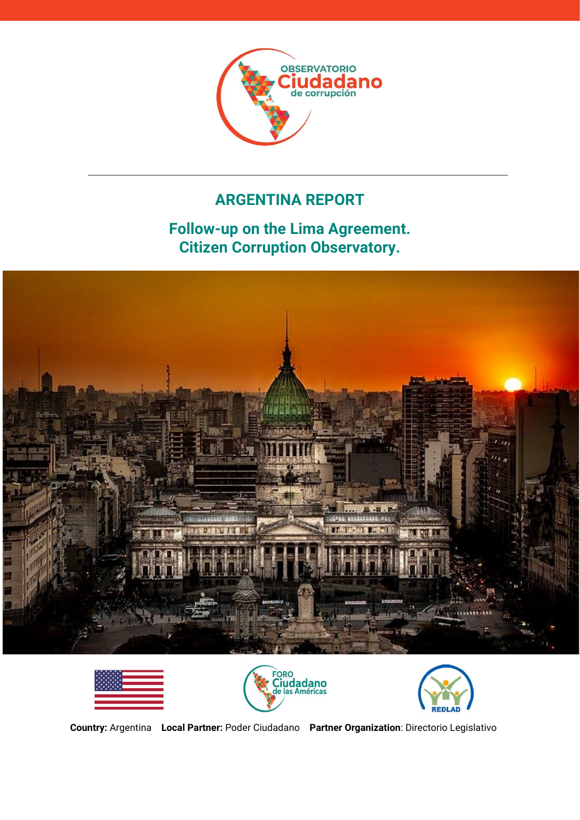

# **ARGENTINA REPORT**

**Follow-up on the Lima Agreement. Citizen Corruption Observatory.**









**Country:** Argentina **Local Partner:** Poder Ciudadano **Partner Organization**: Directorio Legislativo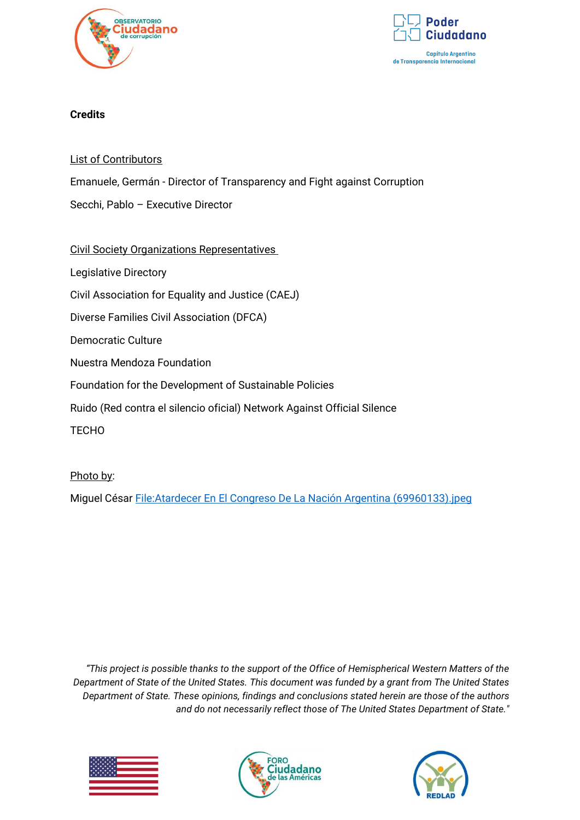



## **Credits**

List of Contributors

Emanuele, Germán - Director of Transparency and Fight against Corruption

Secchi, Pablo – Executive Director

## Civil Society Organizations Representatives

Legislative Directory

Civil Association for Equality and Justice (CAEJ)

Diverse Families Civil Association (DFCA)

Democratic Culture

Nuestra Mendoza Foundation

Foundation for the Development of Sustainable Policies

Ruido (Red contra el silencio oficial) Network Against Official Silence

**TECHO** 

Photo by:

Miguel César [File:Atardecer En El Congreso De La Nación Argentina \(69960133\).jpeg](https://commons.wikimedia.org/wiki/File:Atardecer_En_El_Congreso_De_La_Naci%C3%B3n_Argentina_(69960133).jpeg)

*"This project is possible thanks to the support of the Office of Hemispherical Western Matters of the Department of State of the United States. This document was funded by a grant from The United States Department of State. These opinions, findings and conclusions stated herein are those of the authors and do not necessarily reflect those of The United States Department of State."*





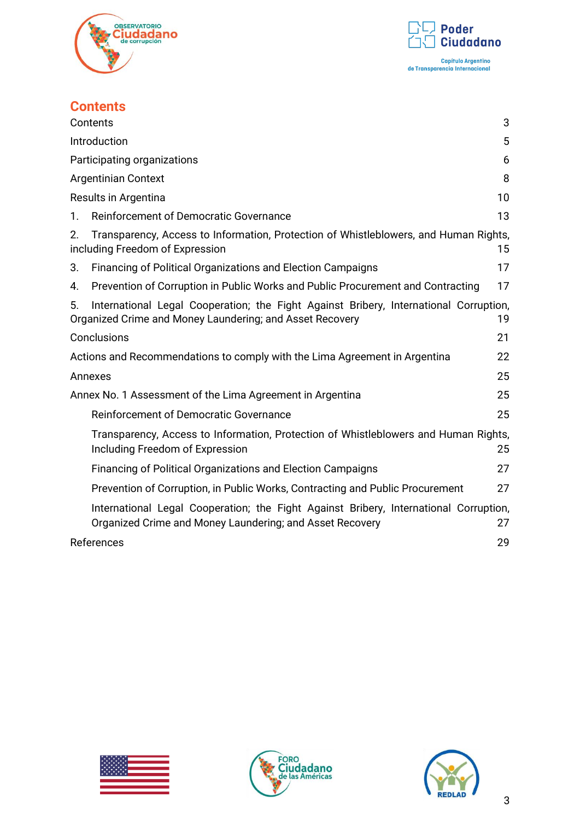



# **Contents**

<span id="page-2-0"></span>

|    | Contents                                                                                                                                          | 3  |
|----|---------------------------------------------------------------------------------------------------------------------------------------------------|----|
|    | Introduction                                                                                                                                      | 5  |
|    | Participating organizations                                                                                                                       | 6  |
|    | <b>Argentinian Context</b>                                                                                                                        | 8  |
|    | Results in Argentina                                                                                                                              | 10 |
| 1. | Reinforcement of Democratic Governance                                                                                                            | 13 |
| 2. | Transparency, Access to Information, Protection of Whistleblowers, and Human Rights,<br>including Freedom of Expression                           | 15 |
| 3. | Financing of Political Organizations and Election Campaigns                                                                                       | 17 |
| 4. | Prevention of Corruption in Public Works and Public Procurement and Contracting                                                                   | 17 |
| 5. | International Legal Cooperation; the Fight Against Bribery, International Corruption,<br>Organized Crime and Money Laundering; and Asset Recovery | 19 |
|    | Conclusions                                                                                                                                       | 21 |
|    | Actions and Recommendations to comply with the Lima Agreement in Argentina                                                                        | 22 |
|    | Annexes                                                                                                                                           | 25 |
|    | Annex No. 1 Assessment of the Lima Agreement in Argentina                                                                                         | 25 |
|    | Reinforcement of Democratic Governance                                                                                                            | 25 |
|    | Transparency, Access to Information, Protection of Whistleblowers and Human Rights,<br>Including Freedom of Expression                            | 25 |
|    | <b>Financing of Political Organizations and Election Campaigns</b>                                                                                | 27 |
|    | Prevention of Corruption, in Public Works, Contracting and Public Procurement                                                                     | 27 |
|    | International Legal Cooperation; the Fight Against Bribery, International Corruption,<br>Organized Crime and Money Laundering; and Asset Recovery | 27 |
|    | References                                                                                                                                        | 29 |





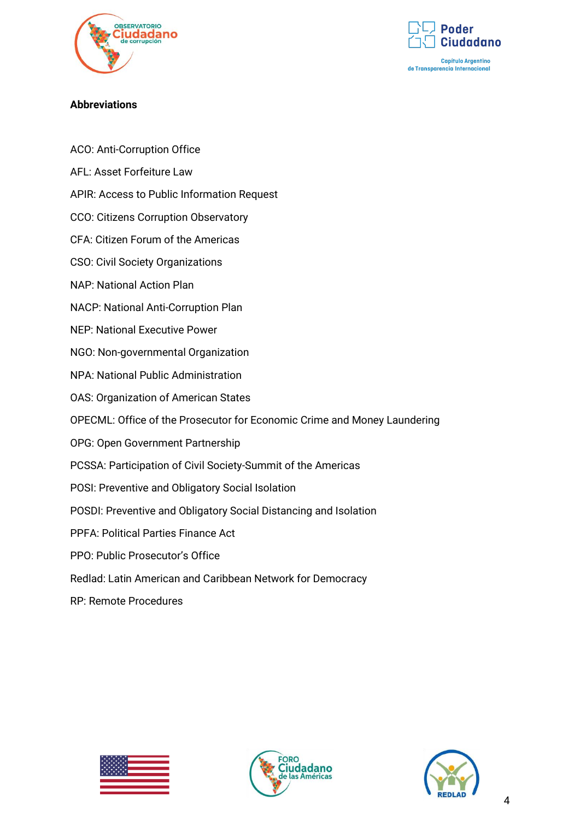



## **Abbreviations**

- ACO: Anti-Corruption Office
- AFL: Asset Forfeiture Law
- APIR: Access to Public Information Request
- CCO: Citizens Corruption Observatory
- CFA: Citizen Forum of the Americas
- CSO: Civil Society Organizations
- NAP: National Action Plan
- NACP: National Anti-Corruption Plan
- NEP: National Executive Power
- NGO: Non-governmental Organization
- NPA: National Public Administration
- OAS: Organization of American States
- OPECML: Office of the Prosecutor for Economic Crime and Money Laundering
- OPG: Open Government Partnership
- PCSSA: Participation of Civil Society-Summit of the Americas
- POSI: Preventive and Obligatory Social Isolation
- POSDI: Preventive and Obligatory Social Distancing and Isolation
- PPFA: Political Parties Finance Act
- PPO: Public Prosecutor's Office
- Redlad: Latin American and Caribbean Network for Democracy
- RP: Remote Procedures





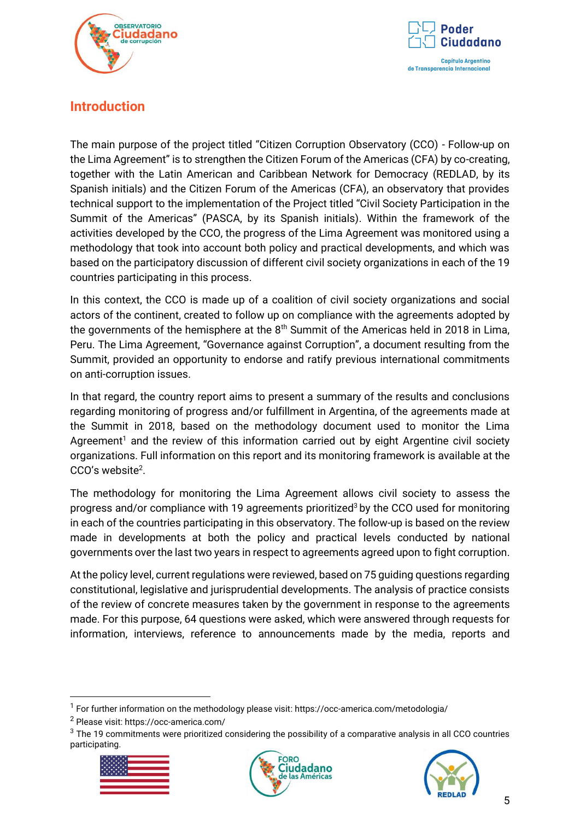



# <span id="page-4-0"></span>**Introduction**

The main purpose of the project titled "Citizen Corruption Observatory (CCO) - Follow-up on the Lima Agreement" is to strengthen the Citizen Forum of the Americas (CFA) by co-creating, together with the Latin American and Caribbean Network for Democracy (REDLAD, by its Spanish initials) and the Citizen Forum of the Americas (CFA), an observatory that provides technical support to the implementation of the Project titled "Civil Society Participation in the Summit of the Americas" (PASCA, by its Spanish initials). Within the framework of the activities developed by the CCO, the progress of the Lima Agreement was monitored using a methodology that took into account both policy and practical developments, and which was based on the participatory discussion of different civil society organizations in each of the 19 countries participating in this process.

In this context, the CCO is made up of a coalition of civil society organizations and social actors of the continent, created to follow up on compliance with the agreements adopted by the governments of the hemisphere at the  $8<sup>th</sup>$  Summit of the Americas held in 2018 in Lima, Peru. The Lima Agreement, "Governance against Corruption", a document resulting from the Summit, provided an opportunity to endorse and ratify previous international commitments on anti-corruption issues.

In that regard, the country report aims to present a summary of the results and conclusions regarding monitoring of progress and/or fulfillment in Argentina, of the agreements made at the Summit in 2018, based on the methodology document used to monitor the Lima Agreement<sup>1</sup> and the review of this information carried out by eight Argentine civil society organizations. Full information on this report and its monitoring framework is available at the CCO's website<sup>2</sup>.

The methodology for monitoring the Lima Agreement allows civil society to assess the progress and/or compliance with 19 agreements prioritized<sup>3</sup> by the CCO used for monitoring in each of the countries participating in this observatory. The follow-up is based on the review made in developments at both the policy and practical levels conducted by national governments over the last two years in respect to agreements agreed upon to fight corruption.

At the policy level, current regulations were reviewed, based on 75 guiding questions regarding constitutional, legislative and jurisprudential developments. The analysis of practice consists of the review of concrete measures taken by the government in response to the agreements made. For this purpose, 64 questions were asked, which were answered through requests for information, interviews, reference to announcements made by the media, reports and

<sup>&</sup>lt;sup>3</sup> The 19 commitments were prioritized considering the possibility of a comparative analysis in all CCO countries participating.







<sup>&</sup>lt;sup>1</sup> For further information on the methodology please visit: https://occ-america.com/metodologia/

<sup>2</sup> Please visit: https://occ-america.com/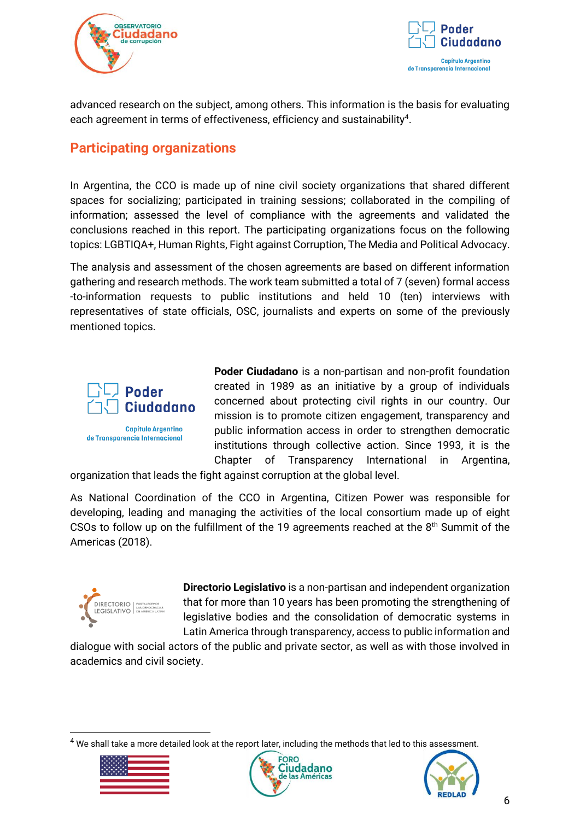



advanced research on the subject, among others. This information is the basis for evaluating each agreement in terms of effectiveness, efficiency and sustainability<sup>4</sup>.

# <span id="page-5-0"></span>**Participating organizations**

In Argentina, the CCO is made up of nine civil society organizations that shared different spaces for socializing; participated in training sessions; collaborated in the compiling of information; assessed the level of compliance with the agreements and validated the conclusions reached in this report. The participating organizations focus on the following topics: LGBTIQA+, Human Rights, Fight against Corruption, The Media and Political Advocacy.

The analysis and assessment of the chosen agreements are based on different information gathering and research methods. The work team submitted a total of 7 (seven) formal access -to-information requests to public institutions and held 10 (ten) interviews with representatives of state officials, OSC, journalists and experts on some of the previously mentioned topics.



de Transparencia Internacional

**Poder Ciudadano** is a non-partisan and non-profit foundation created in 1989 as an initiative by a group of individuals concerned about protecting civil rights in our country. Our mission is to promote citizen engagement, transparency and public information access in order to strengthen democratic institutions through collective action. Since 1993, it is the Chapter of Transparency International in Argentina,

organization that leads the fight against corruption at the global level.

As National Coordination of the CCO in Argentina, Citizen Power was responsible for developing, leading and managing the activities of the local consortium made up of eight CSOs to follow up on the fulfillment of the 19 agreements reached at the 8<sup>th</sup> Summit of the Americas (2018).



**Directorio Legislativo** is a non-partisan and independent organization that for more than 10 years has been promoting the strengthening of legislative bodies and the consolidation of democratic systems in Latin America through transparency, access to public information and

dialogue with social actors of the public and private sector, as well as with those involved in academics and civil society.

<sup>&</sup>lt;sup>4</sup> We shall take a more detailed look at the report later, including the methods that led to this assessment.





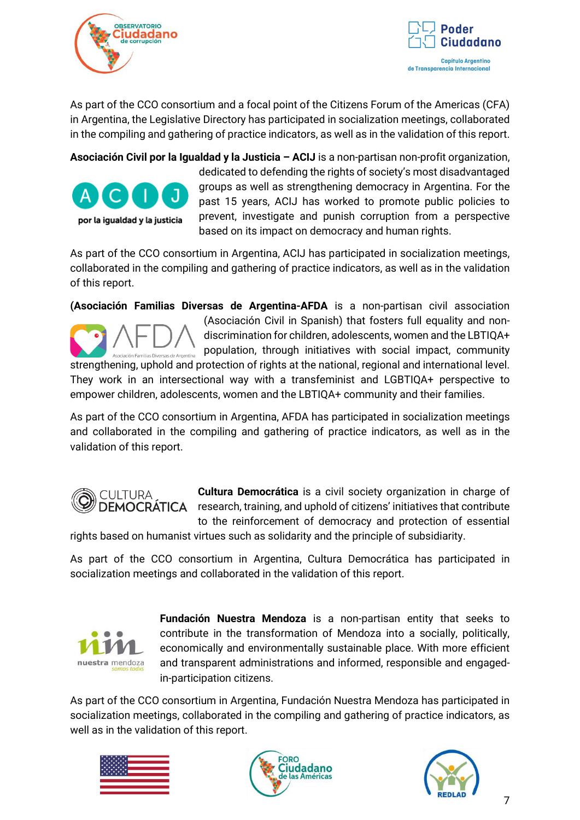



As part of the CCO consortium and a focal point of the Citizens Forum of the Americas (CFA) in Argentina, the Legislative Directory has participated in socialization meetings, collaborated in the compiling and gathering of practice indicators, as well as in the validation of this report.

**Asociación Civil por la Igualdad y la Justicia – ACIJ** is a non-partisan non-profit organization, dedicated to defending the rights of society's most disadvantaged groups as well as strengthening democracy in Argentina. For the past 15 years, ACIJ has worked to promote public policies to prevent, investigate and punish corruption from a perspective por la igualdad y la justicia based on its impact on democracy and human rights.

As part of the CCO consortium in Argentina, ACIJ has participated in socialization meetings, collaborated in the compiling and gathering of practice indicators, as well as in the validation of this report.

**(Asociación Familias Diversas de Argentina-AFDA** is a non-partisan civil association (Asociación Civil in Spanish) that fosters full equality and nondiscrimination for children, adolescents, women and the LBTIQA+ population, through initiatives with social impact, community nilias Diversas de Argentina

strengthening, uphold and protection of rights at the national, regional and international level. They work in an intersectional way with a transfeminist and LGBTIQA+ perspective to empower children, adolescents, women and the LBTIQA+ community and their families.

As part of the CCO consortium in Argentina, AFDA has participated in socialization meetings and collaborated in the compiling and gathering of practice indicators, as well as in the validation of this report.



**Cultura Democrática** is a civil society organization in charge of DEMOCRATICA research, training, and uphold of citizens' initiatives that contribute to the reinforcement of democracy and protection of essential

rights based on humanist virtues such as solidarity and the principle of subsidiarity.

As part of the CCO consortium in Argentina, Cultura Democrática has participated in socialization meetings and collaborated in the validation of this report.



**Fundación Nuestra Mendoza** is a non-partisan entity that seeks to contribute in the transformation of Mendoza into a socially, politically, economically and environmentally sustainable place. With more efficient and transparent administrations and informed, responsible and engagedin-participation citizens.

As part of the CCO consortium in Argentina, Fundación Nuestra Mendoza has participated in socialization meetings, collaborated in the compiling and gathering of practice indicators, as well as in the validation of this report.





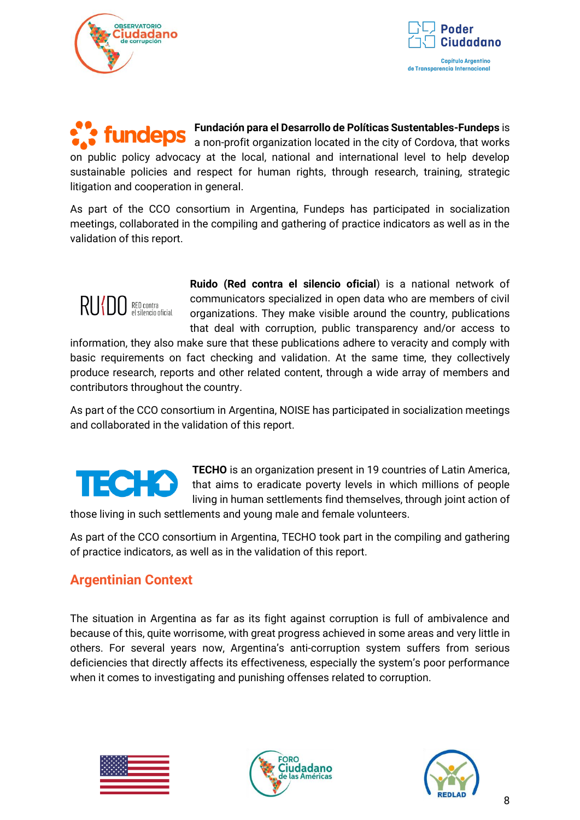



**Fundación para el Desarrollo de Políticas Sustentables-Fundeps** is fundeps a non-profit organization located in the city of Cordova, that works on public policy advocacy at the local, national and international level to help develop sustainable policies and respect for human rights, through research, training, strategic litigation and cooperation in general.

As part of the CCO consortium in Argentina, Fundeps has participated in socialization meetings, collaborated in the compiling and gathering of practice indicators as well as in the validation of this report.



**Ruido (Red contra el silencio oficial**) is a national network of communicators specialized in open data who are members of civil organizations. They make visible around the country, publications that deal with corruption, public transparency and/or access to

information, they also make sure that these publications adhere to veracity and comply with basic requirements on fact checking and validation. At the same time, they collectively produce research, reports and other related content, through a wide array of members and contributors throughout the country.

As part of the CCO consortium in Argentina, NOISE has participated in socialization meetings and collaborated in the validation of this report.

# IEC : 4

**TECHO** is an organization present in 19 countries of Latin America, that aims to eradicate poverty levels in which millions of people living in human settlements find themselves, through joint action of

those living in such settlements and young male and female volunteers.

As part of the CCO consortium in Argentina, TECHO took part in the compiling and gathering of practice indicators, as well as in the validation of this report.

# <span id="page-7-0"></span>**Argentinian Context**

The situation in Argentina as far as its fight against corruption is full of ambivalence and because of this, quite worrisome, with great progress achieved in some areas and very little in others. For several years now, Argentina's anti-corruption system suffers from serious deficiencies that directly affects its effectiveness, especially the system's poor performance when it comes to investigating and punishing offenses related to corruption.





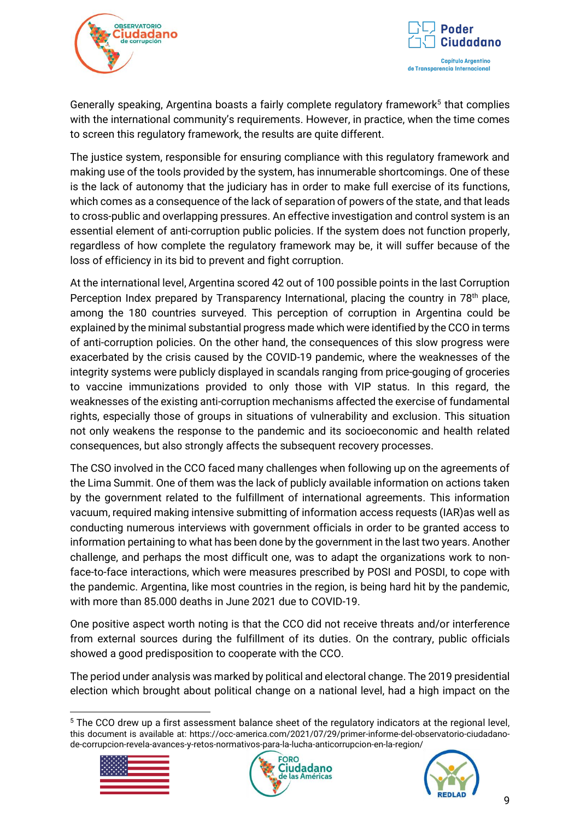



Generally speaking, Argentina boasts a fairly complete regulatory framework<sup>5</sup> that complies with the international community's requirements. However, in practice, when the time comes to screen this regulatory framework, the results are quite different.

The justice system, responsible for ensuring compliance with this regulatory framework and making use of the tools provided by the system, has innumerable shortcomings. One of these is the lack of autonomy that the judiciary has in order to make full exercise of its functions, which comes as a consequence of the lack of separation of powers of the state, and that leads to cross-public and overlapping pressures. An effective investigation and control system is an essential element of anti-corruption public policies. If the system does not function properly, regardless of how complete the regulatory framework may be, it will suffer because of the loss of efficiency in its bid to prevent and fight corruption.

At the international level, Argentina scored 42 out of 100 possible points in the last Corruption Perception Index prepared by Transparency International, placing the country in 78<sup>th</sup> place, among the 180 countries surveyed. This perception of corruption in Argentina could be explained by the minimal substantial progress made which were identified by the CCO in terms of anti-corruption policies. On the other hand, the consequences of this slow progress were exacerbated by the crisis caused by the COVID-19 pandemic, where the weaknesses of the integrity systems were publicly displayed in scandals ranging from price-gouging of groceries to vaccine immunizations provided to only those with VIP status. In this regard, the weaknesses of the existing anti-corruption mechanisms affected the exercise of fundamental rights, especially those of groups in situations of vulnerability and exclusion. This situation not only weakens the response to the pandemic and its socioeconomic and health related consequences, but also strongly affects the subsequent recovery processes.

The CSO involved in the CCO faced many challenges when following up on the agreements of the Lima Summit. One of them was the lack of publicly available information on actions taken by the government related to the fulfillment of international agreements. This information vacuum, required making intensive submitting of information access requests (IAR)as well as conducting numerous interviews with government officials in order to be granted access to information pertaining to what has been done by the government in the last two years. Another challenge, and perhaps the most difficult one, was to adapt the organizations work to nonface-to-face interactions, which were measures prescribed by POSI and POSDI, to cope with the pandemic. Argentina, like most countries in the region, is being hard hit by the pandemic, with more than 85.000 deaths in June 2021 due to COVID-19.

One positive aspect worth noting is that the CCO did not receive threats and/or interference from external sources during the fulfillment of its duties. On the contrary, public officials showed a good predisposition to cooperate with the CCO.

The period under analysis was marked by political and electoral change. The 2019 presidential election which brought about political change on a national level, had a high impact on the

<sup>5</sup> The CCO drew up a first assessment balance sheet of the regulatory indicators at the regional level, this document is available at: https://occ-america.com/2021/07/29/primer-informe-del-observatorio-ciudadanode-corrupcion-revela-avances-y-retos-normativos-para-la-lucha-anticorrupcion-en-la-region/





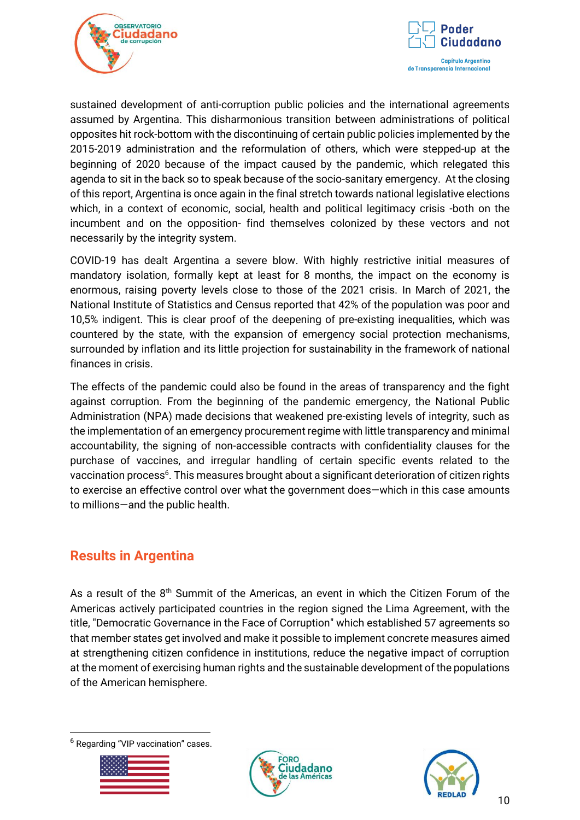



sustained development of anti-corruption public policies and the international agreements assumed by Argentina. This disharmonious transition between administrations of political opposites hit rock-bottom with the discontinuing of certain public policies implemented by the 2015-2019 administration and the reformulation of others, which were stepped-up at the beginning of 2020 because of the impact caused by the pandemic, which relegated this agenda to sit in the back so to speak because of the socio-sanitary emergency. At the closing of this report, Argentina is once again in the final stretch towards national legislative elections which, in a context of economic, social, health and political legitimacy crisis -both on the incumbent and on the opposition- find themselves colonized by these vectors and not necessarily by the integrity system.

COVID-19 has dealt Argentina a severe blow. With highly restrictive initial measures of mandatory isolation, formally kept at least for 8 months, the impact on the economy is enormous, raising poverty levels close to those of the 2021 crisis. In March of 2021, the National Institute of Statistics and Census reported that 42% of the population was poor and 10,5% indigent. This is clear proof of the deepening of pre-existing inequalities, which was countered by the state, with the expansion of emergency social protection mechanisms, surrounded by inflation and its little projection for sustainability in the framework of national finances in crisis.

The effects of the pandemic could also be found in the areas of transparency and the fight against corruption. From the beginning of the pandemic emergency, the National Public Administration (NPA) made decisions that weakened pre-existing levels of integrity, such as the implementation of an emergency procurement regime with little transparency and minimal accountability, the signing of non-accessible contracts with confidentiality clauses for the purchase of vaccines, and irregular handling of certain specific events related to the vaccination process<sup>6</sup>. This measures brought about a significant deterioration of citizen rights to exercise an effective control over what the government does—which in this case amounts to millions—and the public health.

# <span id="page-9-0"></span>**Results in Argentina**

As a result of the  $8<sup>th</sup>$  Summit of the Americas, an event in which the Citizen Forum of the Americas actively participated countries in the region signed the Lima Agreement, with the title, "Democratic Governance in the Face of Corruption" which established 57 agreements so that member states get involved and make it possible to implement concrete measures aimed at strengthening citizen confidence in institutions, reduce the negative impact of corruption at the moment of exercising human rights and the sustainable development of the populations of the American hemisphere.

<sup>6</sup> Regarding "VIP vaccination" cases.





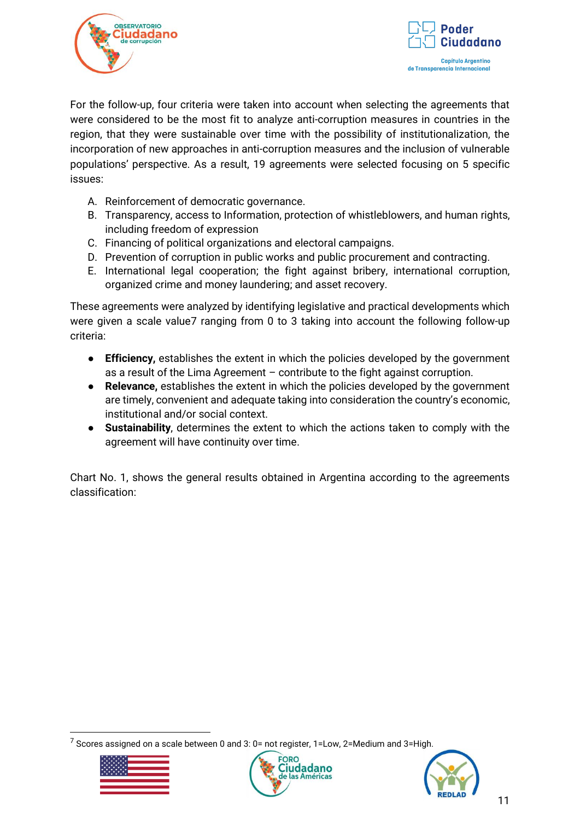



For the follow-up, four criteria were taken into account when selecting the agreements that were considered to be the most fit to analyze anti-corruption measures in countries in the region, that they were sustainable over time with the possibility of institutionalization, the incorporation of new approaches in anti-corruption measures and the inclusion of vulnerable populations' perspective. As a result, 19 agreements were selected focusing on 5 specific issues:

- A. Reinforcement of democratic governance.
- B. Transparency, access to Information, protection of whistleblowers, and human rights, including freedom of expression
- C. Financing of political organizations and electoral campaigns.
- D. Prevention of corruption in public works and public procurement and contracting.
- E. International legal cooperation; the fight against bribery, international corruption, organized crime and money laundering; and asset recovery.

These agreements were analyzed by identifying legislative and practical developments which were given a scale value7 ranging from 0 to 3 taking into account the following follow-up criteria:

- **Efficiency,** establishes the extent in which the policies developed by the government as a result of the Lima Agreement – contribute to the fight against corruption.
- **Relevance,** establishes the extent in which the policies developed by the government are timely, convenient and adequate taking into consideration the country's economic, institutional and/or social context.
- **Sustainability**, determines the extent to which the actions taken to comply with the agreement will have continuity over time.

Chart No. 1, shows the general results obtained in Argentina according to the agreements classification:

 $7$  Scores assigned on a scale between 0 and 3: 0= not register, 1=Low, 2=Medium and 3=High.





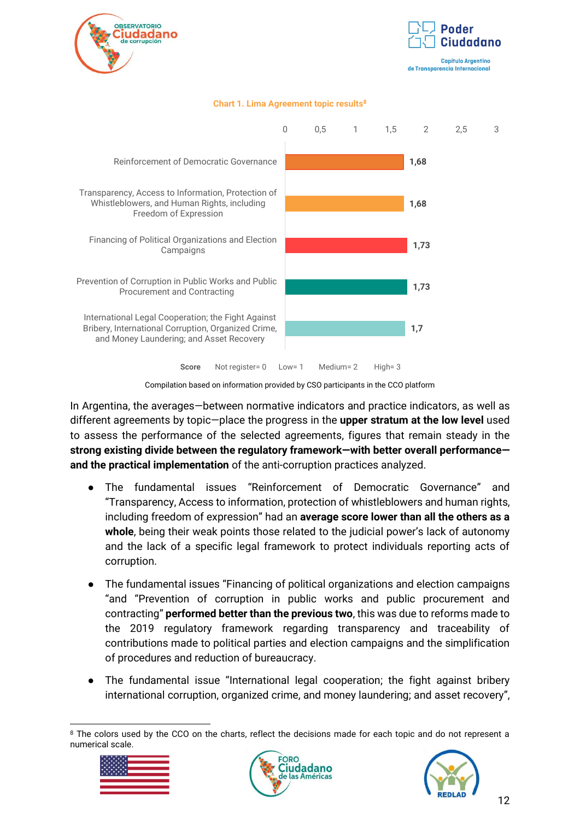



de Transparencia Internacional

#### **Chart 1. Lima Agreement topic results<sup>8</sup>**



Compilation based on information provided by CSO participants in the CCO platform

In Argentina, the averages—between normative indicators and practice indicators, as well as different agreements by topic—place the progress in the **upper stratum at the low level** used to assess the performance of the selected agreements, figures that remain steady in the **strong existing divide between the regulatory framework—with better overall performance and the practical implementation** of the anti-corruption practices analyzed.

- The fundamental issues "Reinforcement of Democratic Governance" and "Transparency, Access to information, protection of whistleblowers and human rights, including freedom of expression" had an **average score lower than all the others as a whole**, being their weak points those related to the judicial power's lack of autonomy and the lack of a specific legal framework to protect individuals reporting acts of corruption.
- The fundamental issues "Financing of political organizations and election campaigns "and "Prevention of corruption in public works and public procurement and contracting" **performed better than the previous two**, this was due to reforms made to the 2019 regulatory framework regarding transparency and traceability of contributions made to political parties and election campaigns and the simplification of procedures and reduction of bureaucracy.
- The fundamental issue "International legal cooperation; the fight against bribery international corruption, organized crime, and money laundering; and asset recovery",

<sup>&</sup>lt;sup>8</sup> The colors used by the CCO on the charts, reflect the decisions made for each topic and do not represent a numerical scale.





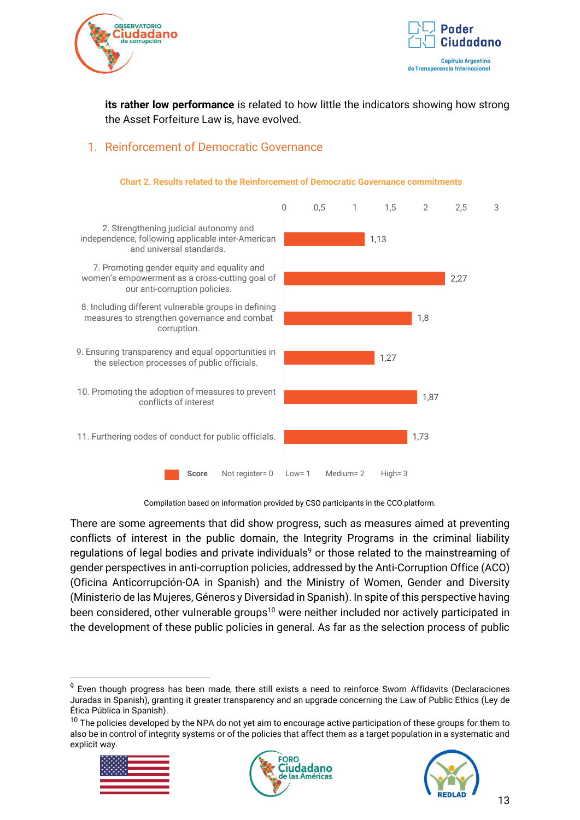



**its rather low performance** is related to how little the indicators showing how strong the Asset Forfeiture Law is, have evolved.

# <span id="page-12-0"></span>1. Reinforcement of Democratic Governance



#### **Chart 2. Results related to the Reinforcement of Democratic Governance commitments**

Compilation based on information provided by CSO participants in the CCO platform.

There are some agreements that did show progress, such as measures aimed at preventing conflicts of interest in the public domain, the Integrity Programs in the criminal liability regulations of legal bodies and private individuals<sup>9</sup> or those related to the mainstreaming of gender perspectives in anti-corruption policies, addressed by the Anti-Corruption Office (ACO) (Oficina Anticorrupción-OA in Spanish) and the Ministry of Women, Gender and Diversity (Ministerio de las Mujeres, Géneros y Diversidad in Spanish). In spite of this perspective having been considered, other vulnerable groups<sup>10</sup> were neither included nor actively participated in the development of these public policies in general. As far as the selection process of public

 $10$  The policies developed by the NPA do not yet aim to encourage active participation of these groups for them to also be in control of integrity systems or of the policies that affect them as a target population in a systematic and explicit way.







<sup>&</sup>lt;sup>9</sup> Even though progress has been made, there still exists a need to reinforce Sworn Affidavits (Declaraciones Juradas in Spanish), granting it greater transparency and an upgrade concerning the Law of Public Ethics (Ley de Ética Pública in Spanish).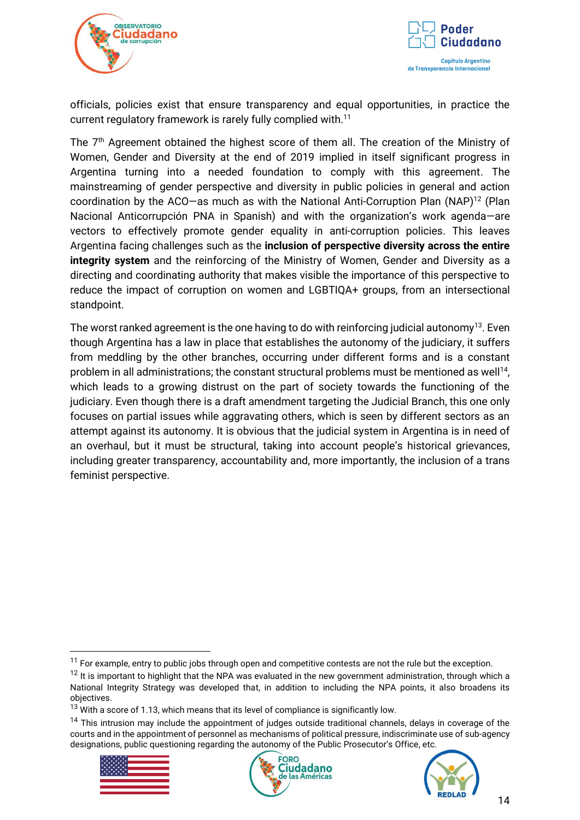



officials, policies exist that ensure transparency and equal opportunities, in practice the current regulatory framework is rarely fully complied with.<sup>11</sup>

The 7th Agreement obtained the highest score of them all. The creation of the Ministry of Women, Gender and Diversity at the end of 2019 implied in itself significant progress in Argentina turning into a needed foundation to comply with this agreement. The mainstreaming of gender perspective and diversity in public policies in general and action coordination by the ACO—as much as with the National Anti-Corruption Plan (NAP)<sup>12</sup> (Plan Nacional Anticorrupción PNA in Spanish) and with the organization's work agenda—are vectors to effectively promote gender equality in anti-corruption policies. This leaves Argentina facing challenges such as the **inclusion of perspective diversity across the entire integrity system** and the reinforcing of the Ministry of Women, Gender and Diversity as a directing and coordinating authority that makes visible the importance of this perspective to reduce the impact of corruption on women and LGBTIQA+ groups, from an intersectional standpoint.

The worst ranked agreement is the one having to do with reinforcing judicial autonomy<sup>13</sup>. Even though Argentina has a law in place that establishes the autonomy of the judiciary, it suffers from meddling by the other branches, occurring under different forms and is a constant problem in all administrations; the constant structural problems must be mentioned as well<sup>14</sup>, which leads to a growing distrust on the part of society towards the functioning of the judiciary. Even though there is a draft amendment targeting the Judicial Branch, this one only focuses on partial issues while aggravating others, which is seen by different sectors as an attempt against its autonomy. It is obvious that the judicial system in Argentina is in need of an overhaul, but it must be structural, taking into account people's historical grievances, including greater transparency, accountability and, more importantly, the inclusion of a trans feminist perspective.

<sup>&</sup>lt;sup>14</sup> This intrusion may include the appointment of judges outside traditional channels, delays in coverage of the courts and in the appointment of personnel as mechanisms of political pressure, indiscriminate use of sub-agency designations, public questioning regarding the autonomy of the Public Prosecutor's Office, etc.







 $11$  For example, entry to public jobs through open and competitive contests are not the rule but the exception.

 $12$  It is important to highlight that the NPA was evaluated in the new government administration, through which a National Integrity Strategy was developed that, in addition to including the NPA points, it also broadens its objectives.

 $13$  With a score of 1.13, which means that its level of compliance is significantly low.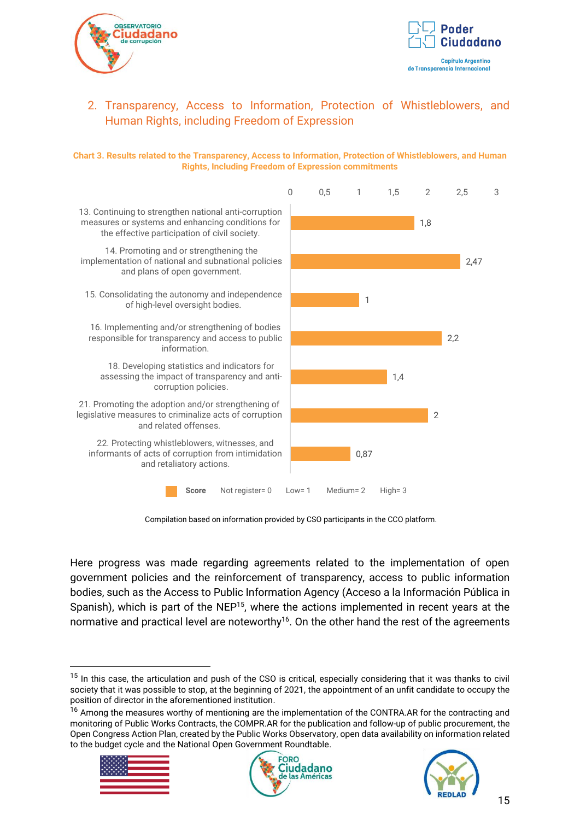



# <span id="page-14-0"></span>2. Transparency, Access to Information, Protection of Whistleblowers, and Human Rights, including Freedom of Expression

#### **Chart 3. Results related to the Transparency, Access to Information, Protection of Whistleblowers, and Human Rights, Including Freedom of Expression commitments**



Compilation based on information provided by CSO participants in the CCO platform.

Here progress was made regarding agreements related to the implementation of open government policies and the reinforcement of transparency, access to public information bodies, such as the Access to Public Information Agency (Acceso a la Información Pública in Spanish), which is part of the NEP<sup>15</sup>, where the actions implemented in recent years at the normative and practical level are noteworthy<sup>16</sup>. On the other hand the rest of the agreements

<sup>&</sup>lt;sup>16</sup> Among the measures worthy of mentioning are the implementation of the CONTRA.AR for the contracting and monitoring of Public Works Contracts, the COMPR.AR for the publication and follow-up of public procurement, the Open Congress Action Plan, created by the Public Works Observatory, open data availability on information related to the budget cycle and the National Open Government Roundtable.







 $15$  In this case, the articulation and push of the CSO is critical, especially considering that it was thanks to civil society that it was possible to stop, at the beginning of 2021, the appointment of an unfit candidate to occupy the position of director in the aforementioned institution.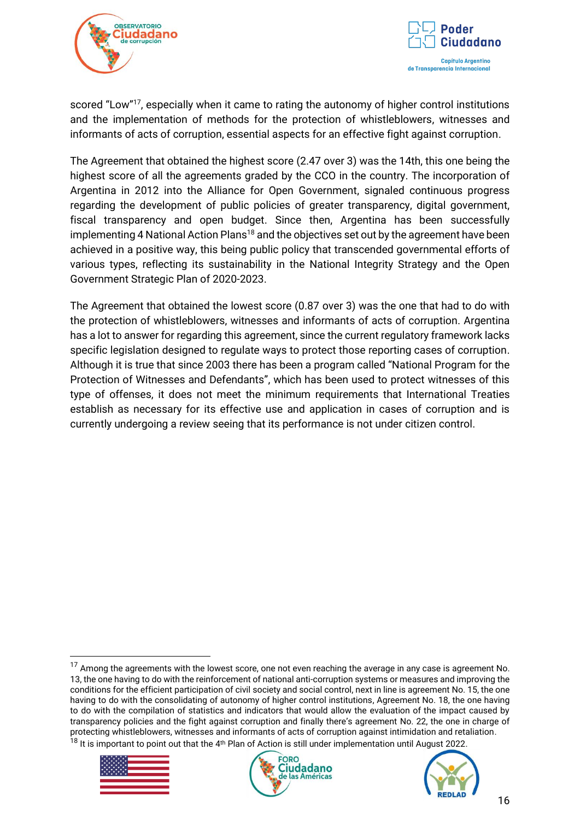



scored "Low"<sup>17</sup>, especially when it came to rating the autonomy of higher control institutions and the implementation of methods for the protection of whistleblowers, witnesses and informants of acts of corruption, essential aspects for an effective fight against corruption.

The Agreement that obtained the highest score (2.47 over 3) was the 14th, this one being the highest score of all the agreements graded by the CCO in the country. The incorporation of Argentina in 2012 into the Alliance for Open Government, signaled continuous progress regarding the development of public policies of greater transparency, digital government, fiscal transparency and open budget. Since then, Argentina has been successfully implementing 4 National Action Plans<sup>18</sup> and the objectives set out by the agreement have been achieved in a positive way, this being public policy that transcended governmental efforts of various types, reflecting its sustainability in the National Integrity Strategy and the Open Government Strategic Plan of 2020-2023.

The Agreement that obtained the lowest score (0.87 over 3) was the one that had to do with the protection of whistleblowers, witnesses and informants of acts of corruption. Argentina has a lot to answer for regarding this agreement, since the current regulatory framework lacks specific legislation designed to regulate ways to protect those reporting cases of corruption. Although it is true that since 2003 there has been a program called "National Program for the Protection of Witnesses and Defendants", which has been used to protect witnesses of this type of offenses, it does not meet the minimum requirements that International Treaties establish as necessary for its effective use and application in cases of corruption and is currently undergoing a review seeing that its performance is not under citizen control.

<sup>&</sup>lt;sup>17</sup> Among the agreements with the lowest score, one not even reaching the average in any case is agreement No. 13, the one having to do with the reinforcement of national anti-corruption systems or measures and improving the conditions for the efficient participation of civil society and social control, next in line is agreement No. 15, the one having to do with the consolidating of autonomy of higher control institutions, Agreement No. 18, the one having to do with the compilation of statistics and indicators that would allow the evaluation of the impact caused by transparency policies and the fight against corruption and finally there's agreement No. 22, the one in charge of protecting whistleblowers, witnesses and informants of acts of corruption against intimidation and retaliation.  $18$  It is important to point out that the 4<sup>th</sup> Plan of Action is still under implementation until August 2022.





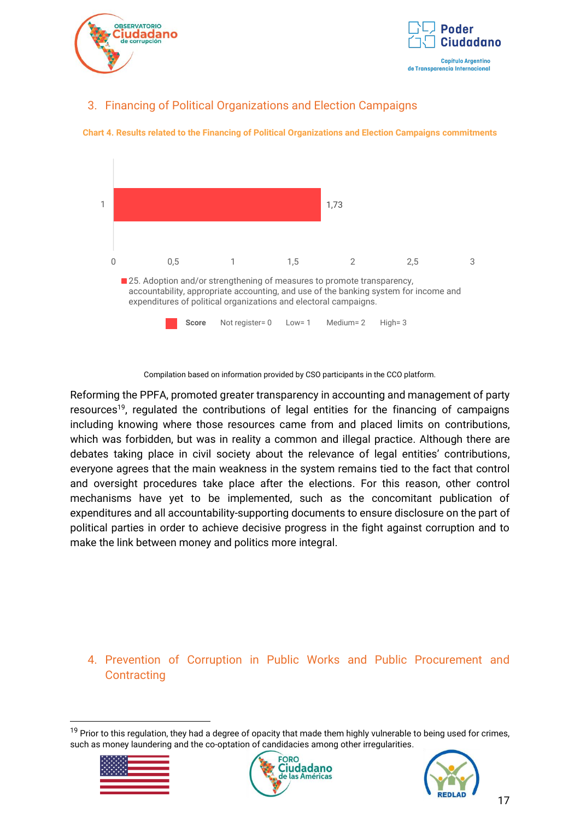



# <span id="page-16-0"></span>3. Financing of Political Organizations and Election Campaigns



**Chart 4. Results related to the Financing of Political Organizations and Election Campaigns commitments**

Compilation based on information provided by CSO participants in the CCO platform.

Reforming the PPFA, promoted greater transparency in accounting and management of party resources<sup>19</sup>, regulated the contributions of legal entities for the financing of campaigns including knowing where those resources came from and placed limits on contributions, which was forbidden, but was in reality a common and illegal practice. Although there are debates taking place in civil society about the relevance of legal entities' contributions, everyone agrees that the main weakness in the system remains tied to the fact that control and oversight procedures take place after the elections. For this reason, other control mechanisms have yet to be implemented, such as the concomitant publication of expenditures and all accountability-supporting documents to ensure disclosure on the part of political parties in order to achieve decisive progress in the fight against corruption and to make the link between money and politics more integral.

## <span id="page-16-1"></span>4. Prevention of Corruption in Public Works and Public Procurement and **Contracting**

<sup>&</sup>lt;sup>19</sup> Prior to this regulation, they had a degree of opacity that made them highly vulnerable to being used for crimes, such as money laundering and the co-optation of candidacies among other irregularities.





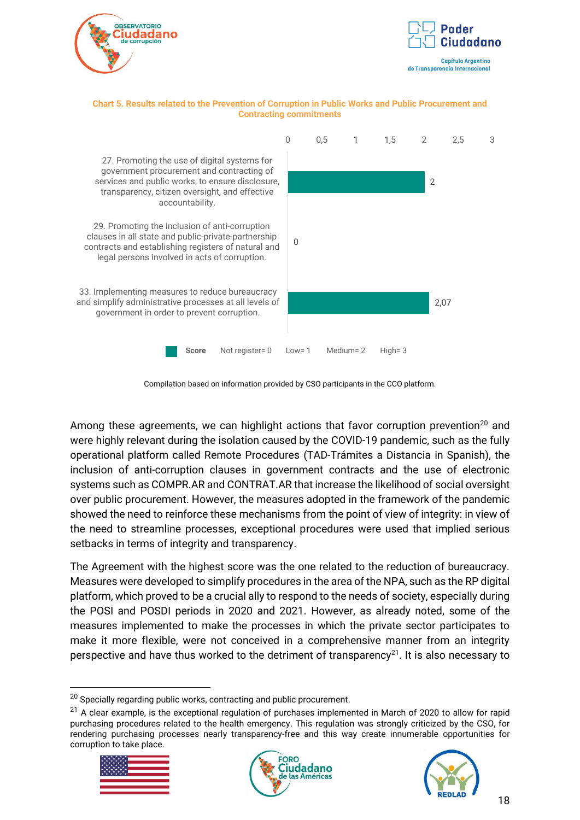



#### **Chart 5. Results related to the Prevention of Corruption in Public Works and Public Procurement and Contracting commitments**



Compilation based on information provided by CSO participants in the CCO platform.

Among these agreements, we can highlight actions that favor corruption prevention<sup>20</sup> and were highly relevant during the isolation caused by the COVID-19 pandemic, such as the fully operational platform called Remote Procedures (TAD-Trámites a Distancia in Spanish), the inclusion of anti-corruption clauses in government contracts and the use of electronic systems such as COMPR.AR and CONTRAT.AR that increase the likelihood of social oversight over public procurement. However, the measures adopted in the framework of the pandemic showed the need to reinforce these mechanisms from the point of view of integrity: in view of the need to streamline processes, exceptional procedures were used that implied serious setbacks in terms of integrity and transparency.

The Agreement with the highest score was the one related to the reduction of bureaucracy. Measures were developed to simplify procedures in the area of the NPA, such as the RP digital platform, which proved to be a crucial ally to respond to the needs of society, especially during the POSI and POSDI periods in 2020 and 2021. However, as already noted, some of the measures implemented to make the processes in which the private sector participates to make it more flexible, were not conceived in a comprehensive manner from an integrity perspective and have thus worked to the detriment of transparency<sup>21</sup>. It is also necessary to

<sup>&</sup>lt;sup>21</sup> A clear example, is the exceptional regulation of purchases implemented in March of 2020 to allow for rapid purchasing procedures related to the health emergency. This regulation was strongly criticized by the CSO, for rendering purchasing processes nearly transparency-free and this way create innumerable opportunities for corruption to take place.







 $20$  Specially regarding public works, contracting and public procurement.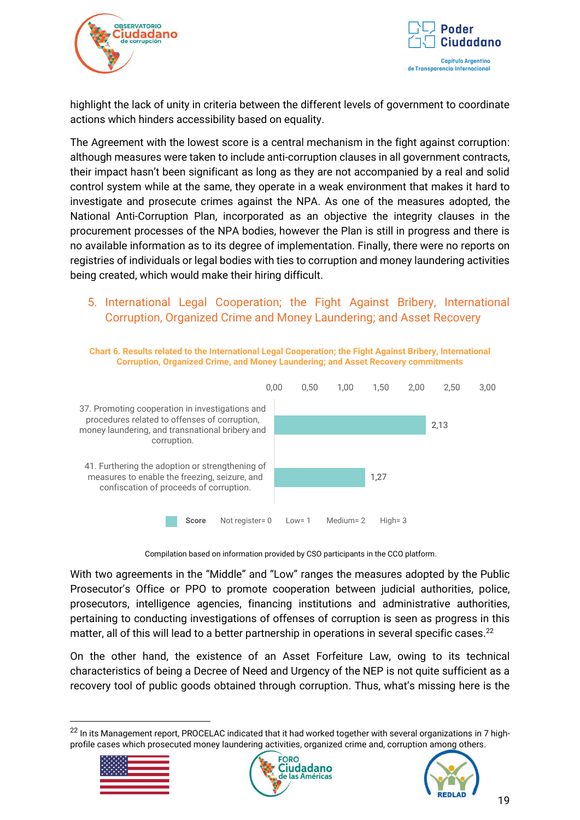



highlight the lack of unity in criteria between the different levels of government to coordinate actions which hinders accessibility based on equality.

The Agreement with the lowest score is a central mechanism in the fight against corruption: although measures were taken to include anti-corruption clauses in all government contracts, their impact hasn't been significant as long as they are not accompanied by a real and solid control system while at the same, they operate in a weak environment that makes it hard to investigate and prosecute crimes against the NPA. As one of the measures adopted, the National Anti-Corruption Plan, incorporated as an objective the integrity clauses in the procurement processes of the NPA bodies, however the Plan is still in progress and there is no available information as to its degree of implementation. Finally, there were no reports on registries of individuals or legal bodies with ties to corruption and money laundering activities being created, which would make their hiring difficult.

# <span id="page-18-0"></span>5. International Legal Cooperation; the Fight Against Bribery, International Corruption, Organized Crime and Money Laundering; and Asset Recovery



**Chart 6. Results related to the International Legal Cooperation; the Fight Against Bribery, International** 

Compilation based on information provided by CSO participants in the CCO platform.

With two agreements in the "Middle" and "Low" ranges the measures adopted by the Public Prosecutor's Office or PPO to promote cooperation between judicial authorities, police, prosecutors, intelligence agencies, financing institutions and administrative authorities, pertaining to conducting investigations of offenses of corruption is seen as progress in this matter, all of this will lead to a better partnership in operations in several specific cases.<sup>22</sup>

On the other hand, the existence of an Asset Forfeiture Law, owing to its technical characteristics of being a Decree of Need and Urgency of the NEP is not quite sufficient as a recovery tool of public goods obtained through corruption. Thus, what's missing here is the

<sup>&</sup>lt;sup>22</sup> In its Management report, PROCELAC indicated that it had worked together with several organizations in 7 highprofile cases which prosecuted money laundering activities, organized crime and, corruption among others.





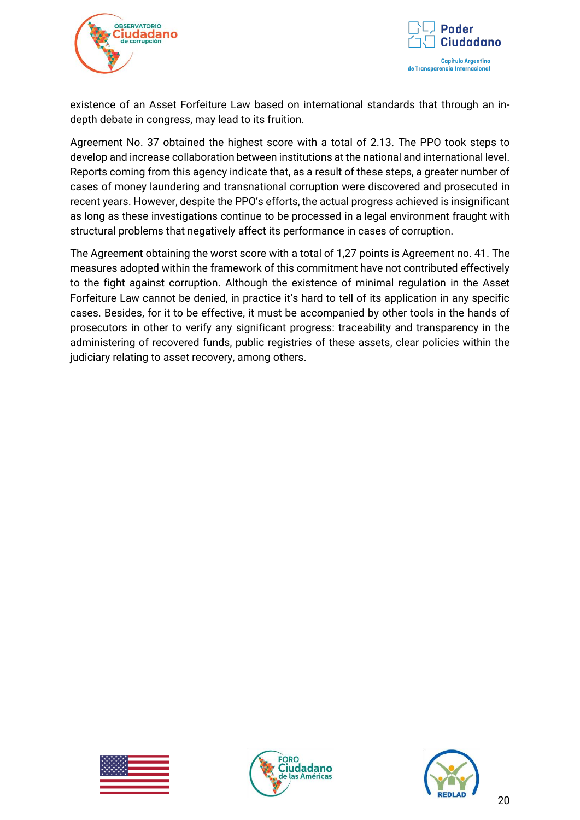



existence of an Asset Forfeiture Law based on international standards that through an indepth debate in congress, may lead to its fruition.

Agreement No. 37 obtained the highest score with a total of 2.13. The PPO took steps to develop and increase collaboration between institutions at the national and international level. Reports coming from this agency indicate that, as a result of these steps, a greater number of cases of money laundering and transnational corruption were discovered and prosecuted in recent years. However, despite the PPO's efforts, the actual progress achieved is insignificant as long as these investigations continue to be processed in a legal environment fraught with structural problems that negatively affect its performance in cases of corruption.

The Agreement obtaining the worst score with a total of 1,27 points is Agreement no. 41. The measures adopted within the framework of this commitment have not contributed effectively to the fight against corruption. Although the existence of minimal regulation in the Asset Forfeiture Law cannot be denied, in practice it's hard to tell of its application in any specific cases. Besides, for it to be effective, it must be accompanied by other tools in the hands of prosecutors in other to verify any significant progress: traceability and transparency in the administering of recovered funds, public registries of these assets, clear policies within the judiciary relating to asset recovery, among others.





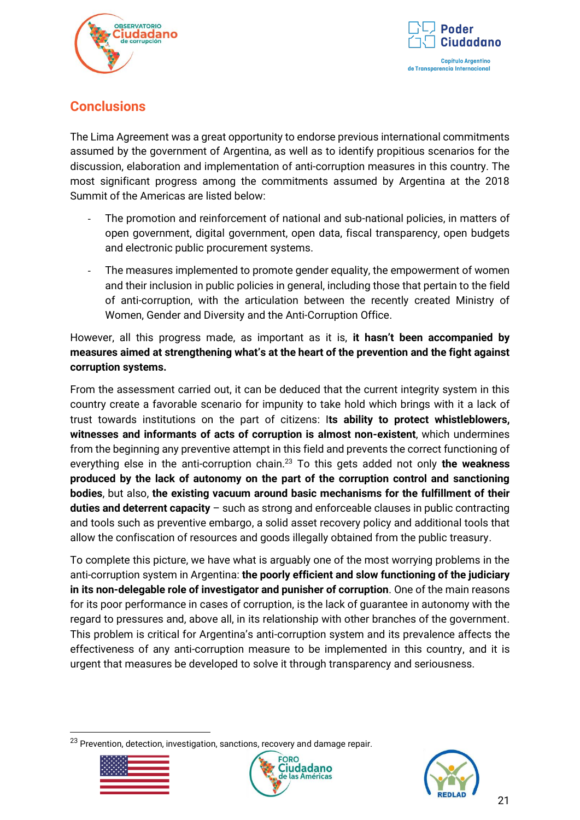



# <span id="page-20-0"></span>**Conclusions**

The Lima Agreement was a great opportunity to endorse previous international commitments assumed by the government of Argentina, as well as to identify propitious scenarios for the discussion, elaboration and implementation of anti-corruption measures in this country. The most significant progress among the commitments assumed by Argentina at the 2018 Summit of the Americas are listed below:

- The promotion and reinforcement of national and sub-national policies, in matters of open government, digital government, open data, fiscal transparency, open budgets and electronic public procurement systems.
- The measures implemented to promote gender equality, the empowerment of women and their inclusion in public policies in general, including those that pertain to the field of anti-corruption, with the articulation between the recently created Ministry of Women, Gender and Diversity and the Anti-Corruption Office.

However, all this progress made, as important as it is, **it hasn't been accompanied by measures aimed at strengthening what's at the heart of the prevention and the fight against corruption systems.** 

From the assessment carried out, it can be deduced that the current integrity system in this country create a favorable scenario for impunity to take hold which brings with it a lack of trust towards institutions on the part of citizens: I**ts ability to protect whistleblowers, witnesses and informants of acts of corruption is almost non-existent**, which undermines from the beginning any preventive attempt in this field and prevents the correct functioning of everything else in the anti-corruption chain. <sup>23</sup> To this gets added not only **the weakness produced by the lack of autonomy on the part of the corruption control and sanctioning bodies**, but also, **the existing vacuum around basic mechanisms for the fulfillment of their duties and deterrent capacity** – such as strong and enforceable clauses in public contracting and tools such as preventive embargo, a solid asset recovery policy and additional tools that allow the confiscation of resources and goods illegally obtained from the public treasury.

To complete this picture, we have what is arguably one of the most worrying problems in the anti-corruption system in Argentina: **the poorly efficient and slow functioning of the judiciary in its non-delegable role of investigator and punisher of corruption**. One of the main reasons for its poor performance in cases of corruption, is the lack of guarantee in autonomy with the regard to pressures and, above all, in its relationship with other branches of the government. This problem is critical for Argentina's anti-corruption system and its prevalence affects the effectiveness of any anti-corruption measure to be implemented in this country, and it is urgent that measures be developed to solve it through transparency and seriousness.

<sup>&</sup>lt;sup>23</sup> Prevention. detection, investigation, sanctions, recovery and damage repair.





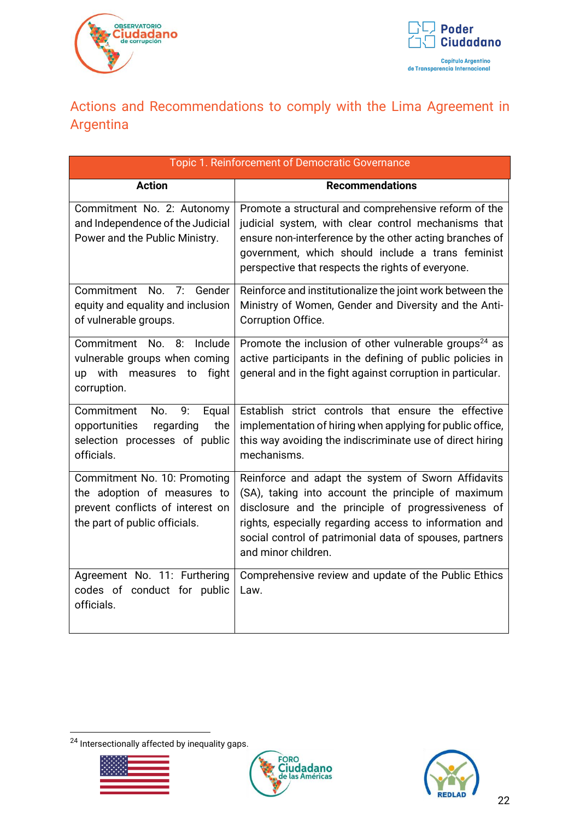



# <span id="page-21-0"></span>Actions and Recommendations to comply with the Lima Agreement in Argentina

| Topic 1. Reinforcement of Democratic Governance                                                                                  |                                                                                                                                                                                                                                                                                                            |  |  |  |
|----------------------------------------------------------------------------------------------------------------------------------|------------------------------------------------------------------------------------------------------------------------------------------------------------------------------------------------------------------------------------------------------------------------------------------------------------|--|--|--|
| <b>Action</b>                                                                                                                    | <b>Recommendations</b>                                                                                                                                                                                                                                                                                     |  |  |  |
| Commitment No. 2: Autonomy<br>and Independence of the Judicial<br>Power and the Public Ministry.                                 | Promote a structural and comprehensive reform of the<br>judicial system, with clear control mechanisms that<br>ensure non-interference by the other acting branches of<br>government, which should include a trans feminist<br>perspective that respects the rights of everyone.                           |  |  |  |
| Commitment No. 7:<br>Gender<br>equity and equality and inclusion<br>of vulnerable groups.                                        | Reinforce and institutionalize the joint work between the<br>Ministry of Women, Gender and Diversity and the Anti-<br>Corruption Office.                                                                                                                                                                   |  |  |  |
| Commitment No. 8:<br>Include<br>vulnerable groups when coming<br>up with<br>fight<br>measures to<br>corruption.                  | Promote the inclusion of other vulnerable groups <sup>24</sup> as<br>active participants in the defining of public policies in<br>general and in the fight against corruption in particular.                                                                                                               |  |  |  |
| No.<br>Commitment<br>9:<br>Equal<br>the<br>regarding<br>opportunities<br>selection processes of public<br>officials.             | Establish strict controls that ensure the effective<br>implementation of hiring when applying for public office,<br>this way avoiding the indiscriminate use of direct hiring<br>mechanisms.                                                                                                               |  |  |  |
| Commitment No. 10: Promoting<br>the adoption of measures to<br>prevent conflicts of interest on<br>the part of public officials. | Reinforce and adapt the system of Sworn Affidavits<br>(SA), taking into account the principle of maximum<br>disclosure and the principle of progressiveness of<br>rights, especially regarding access to information and<br>social control of patrimonial data of spouses, partners<br>and minor children. |  |  |  |
| Agreement No. 11: Furthering<br>codes of conduct for public<br>officials.                                                        | Comprehensive review and update of the Public Ethics<br>Law.                                                                                                                                                                                                                                               |  |  |  |

<sup>24</sup> Intersectionally affected by inequality gaps.





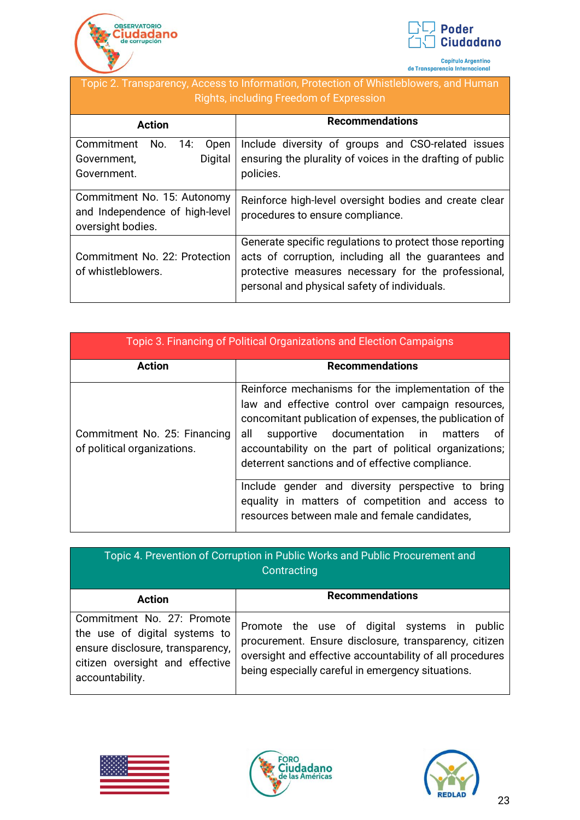



Capítulo Argentino<br>de Transparencia Internacional

# Topic 2. Transparency, Access to Information, Protection of Whistleblowers, and Human Rights, including Freedom of Expression

| <b>Action</b>                                                                      | <b>Recommendations</b>                                                                                                                                                                                                  |
|------------------------------------------------------------------------------------|-------------------------------------------------------------------------------------------------------------------------------------------------------------------------------------------------------------------------|
| Commitment<br>14:<br>No.<br>Open<br>Digital<br>Government,<br>Government.          | Include diversity of groups and CSO-related issues<br>ensuring the plurality of voices in the drafting of public<br>policies.                                                                                           |
| Commitment No. 15: Autonomy<br>and Independence of high-level<br>oversight bodies. | Reinforce high-level oversight bodies and create clear<br>procedures to ensure compliance.                                                                                                                              |
| Commitment No. 22: Protection<br>of whistleblowers.                                | Generate specific regulations to protect those reporting<br>acts of corruption, including all the guarantees and<br>protective measures necessary for the professional,<br>personal and physical safety of individuals. |

| Topic 3. Financing of Political Organizations and Election Campaigns |                                                                                                                                                                                                                                                                                                                                       |  |  |  |  |  |
|----------------------------------------------------------------------|---------------------------------------------------------------------------------------------------------------------------------------------------------------------------------------------------------------------------------------------------------------------------------------------------------------------------------------|--|--|--|--|--|
| <b>Action</b>                                                        | <b>Recommendations</b>                                                                                                                                                                                                                                                                                                                |  |  |  |  |  |
| Commitment No. 25: Financing<br>of political organizations.          | Reinforce mechanisms for the implementation of the<br>law and effective control over campaign resources,<br>concomitant publication of expenses, the publication of<br>supportive documentation in matters<br>all<br>οf<br>accountability on the part of political organizations;<br>deterrent sanctions and of effective compliance. |  |  |  |  |  |
|                                                                      | Include gender and diversity perspective to bring<br>equality in matters of competition and access to<br>resources between male and female candidates,                                                                                                                                                                                |  |  |  |  |  |

| Topic 4. Prevention of Corruption in Public Works and Public Procurement and<br>Contracting                                                           |                                                                                                                                                                                                                           |  |  |  |  |
|-------------------------------------------------------------------------------------------------------------------------------------------------------|---------------------------------------------------------------------------------------------------------------------------------------------------------------------------------------------------------------------------|--|--|--|--|
| <b>Action</b>                                                                                                                                         | <b>Recommendations</b>                                                                                                                                                                                                    |  |  |  |  |
| Commitment No. 27: Promote<br>the use of digital systems to<br>ensure disclosure, transparency,<br>citizen oversight and effective<br>accountability. | Promote the use of digital systems in<br>public<br>procurement. Ensure disclosure, transparency, citizen<br>oversight and effective accountability of all procedures<br>being especially careful in emergency situations. |  |  |  |  |





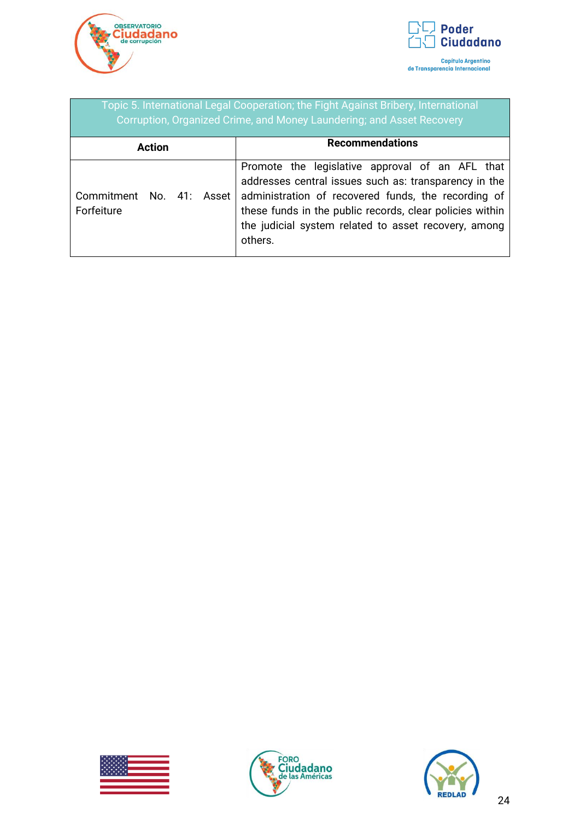



| Topic 5. International Legal Cooperation; the Fight Against Bribery, International<br>Corruption, Organized Crime, and Money Laundering; and Asset Recovery |                                                                                                                                                                                                                                                                                                |  |  |  |  |  |
|-------------------------------------------------------------------------------------------------------------------------------------------------------------|------------------------------------------------------------------------------------------------------------------------------------------------------------------------------------------------------------------------------------------------------------------------------------------------|--|--|--|--|--|
| <b>Action</b>                                                                                                                                               | <b>Recommendations</b>                                                                                                                                                                                                                                                                         |  |  |  |  |  |
| Commitment<br>41: Asset<br>No.<br>Forfeiture                                                                                                                | Promote the legislative approval of an AFL that<br>addresses central issues such as: transparency in the<br>administration of recovered funds, the recording of<br>these funds in the public records, clear policies within<br>the judicial system related to asset recovery, among<br>others. |  |  |  |  |  |





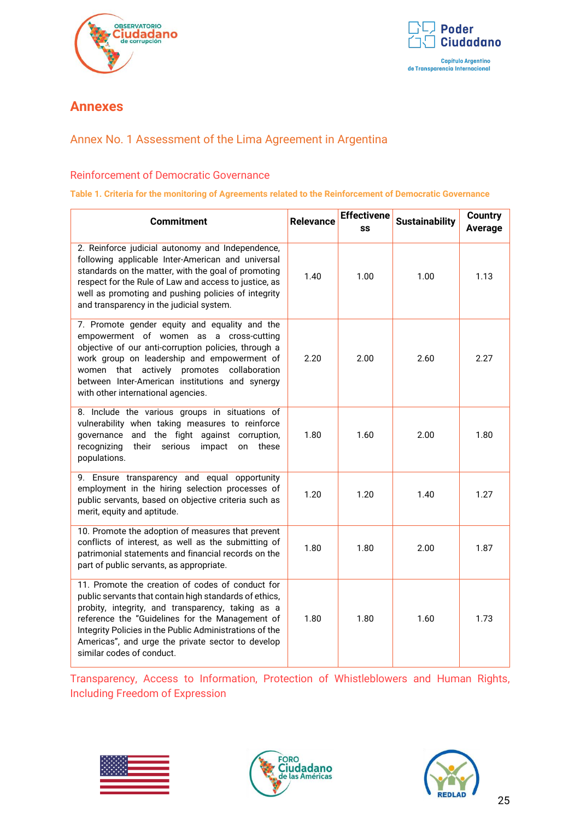



# <span id="page-24-0"></span>**Annexes**

# <span id="page-24-1"></span>Annex No. 1 Assessment of the Lima Agreement in Argentina

## <span id="page-24-2"></span>Reinforcement of Democratic Governance

#### **Table 1. Criteria for the monitoring of Agreements related to the Reinforcement of Democratic Governance**

| <b>Commitment</b>                                                                                                                                                                                                                                                                                                                                               | <b>Relevance</b> | <b>Effectivene</b><br>SS | <b>Sustainability</b> | <b>Country</b><br><b>Average</b> |
|-----------------------------------------------------------------------------------------------------------------------------------------------------------------------------------------------------------------------------------------------------------------------------------------------------------------------------------------------------------------|------------------|--------------------------|-----------------------|----------------------------------|
| 2. Reinforce judicial autonomy and Independence,<br>following applicable Inter-American and universal<br>standards on the matter, with the goal of promoting<br>respect for the Rule of Law and access to justice, as<br>well as promoting and pushing policies of integrity<br>and transparency in the judicial system.                                        | 1.40             | 1.00                     | 1.00                  | 1.13                             |
| 7. Promote gender equity and equality and the<br>empowerment of women as a cross-cutting<br>objective of our anti-corruption policies, through a<br>work group on leadership and empowerment of<br>women that actively promotes collaboration<br>between Inter-American institutions and synergy<br>with other international agencies.                          | 2.20             | 2.00                     | 2.60                  | 2.27                             |
| 8. Include the various groups in situations of<br>vulnerability when taking measures to reinforce<br>and the fight against corruption,<br>governance<br>recognizing<br>their<br>serious<br>impact<br>these<br>on<br>populations.                                                                                                                                | 1.80             | 1.60                     | 2.00                  | 1.80                             |
| 9. Ensure transparency and equal opportunity<br>employment in the hiring selection processes of<br>public servants, based on objective criteria such as<br>merit, equity and aptitude.                                                                                                                                                                          | 1.20             | 1.20                     | 1.40                  | 1.27                             |
| 10. Promote the adoption of measures that prevent<br>conflicts of interest, as well as the submitting of<br>patrimonial statements and financial records on the<br>part of public servants, as appropriate.                                                                                                                                                     | 1.80             | 1.80                     | 2.00                  | 1.87                             |
| 11. Promote the creation of codes of conduct for<br>public servants that contain high standards of ethics,<br>probity, integrity, and transparency, taking as a<br>reference the "Guidelines for the Management of<br>Integrity Policies in the Public Administrations of the<br>Americas", and urge the private sector to develop<br>similar codes of conduct. | 1.80             | 1.80                     | 1.60                  | 1.73                             |

<span id="page-24-3"></span>Transparency, Access to Information, Protection of Whistleblowers and Human Rights, Including Freedom of Expression





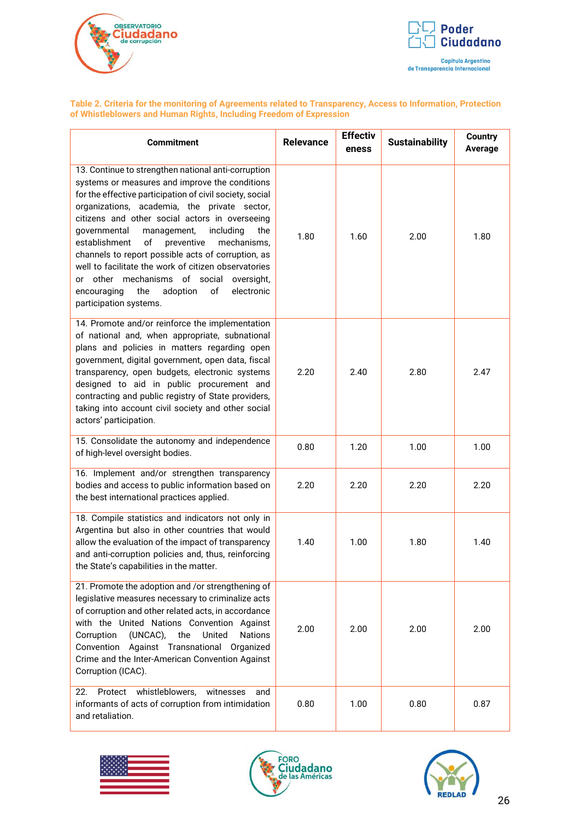



#### **Table 2. Criteria for the monitoring of Agreements related to Transparency, Access to Information, Protection of Whistleblowers and Human Rights, Including Freedom of Expression**

| <b>Commitment</b>                                                                                                                                                                                                                                                                                                                                                                                                                                                                                                                                                                                                                  | <b>Relevance</b> | <b>Effectiv</b><br>eness | <b>Sustainability</b> | <b>Country</b><br>Average |
|------------------------------------------------------------------------------------------------------------------------------------------------------------------------------------------------------------------------------------------------------------------------------------------------------------------------------------------------------------------------------------------------------------------------------------------------------------------------------------------------------------------------------------------------------------------------------------------------------------------------------------|------------------|--------------------------|-----------------------|---------------------------|
| 13. Continue to strengthen national anti-corruption<br>systems or measures and improve the conditions<br>for the effective participation of civil society, social<br>organizations, academia, the private sector,<br>citizens and other social actors in overseeing<br>governmental<br>management,<br>including<br>the<br>establishment<br>$\mathsf{of}$<br>preventive<br>mechanisms,<br>channels to report possible acts of corruption, as<br>well to facilitate the work of citizen observatories<br>or other mechanisms of social<br>oversight,<br>encouraging<br>the<br>adoption<br>of<br>electronic<br>participation systems. | 1.80             | 1.60                     | 2.00                  | 1.80                      |
| 14. Promote and/or reinforce the implementation<br>of national and, when appropriate, subnational<br>plans and policies in matters regarding open<br>government, digital government, open data, fiscal<br>transparency, open budgets, electronic systems<br>designed to aid in public procurement and<br>contracting and public registry of State providers,<br>taking into account civil society and other social<br>actors' participation.                                                                                                                                                                                       | 2.20             | 2.40                     | 2.80                  | 2.47                      |
| 15. Consolidate the autonomy and independence<br>of high-level oversight bodies.                                                                                                                                                                                                                                                                                                                                                                                                                                                                                                                                                   | 0.80             | 1.20                     | 1.00                  | 1.00                      |
| 16. Implement and/or strengthen transparency<br>bodies and access to public information based on<br>the best international practices applied.                                                                                                                                                                                                                                                                                                                                                                                                                                                                                      | 2.20             | 2.20                     | 2.20                  | 2.20                      |
| 18. Compile statistics and indicators not only in<br>Argentina but also in other countries that would<br>allow the evaluation of the impact of transparency<br>and anti-corruption policies and, thus, reinforcing<br>the State's capabilities in the matter.                                                                                                                                                                                                                                                                                                                                                                      | 1.40             | 1.00                     | 1.80                  | 1.40                      |
| 21. Promote the adoption and /or strengthening of<br>legislative measures necessary to criminalize acts<br>of corruption and other related acts, in accordance<br>with the United Nations Convention Against<br>(UNCAC),<br>United<br>Corruption<br>the<br><b>Nations</b><br>Against Transnational Organized<br>Convention<br>Crime and the Inter-American Convention Against<br>Corruption (ICAC).                                                                                                                                                                                                                                | 2.00             | 2.00                     | 2.00                  | 2.00                      |
| whistleblowers,<br>22.<br>witnesses<br>Protect<br>and<br>informants of acts of corruption from intimidation<br>and retaliation.                                                                                                                                                                                                                                                                                                                                                                                                                                                                                                    | 0.80             | 1.00                     | 0.80                  | 0.87                      |





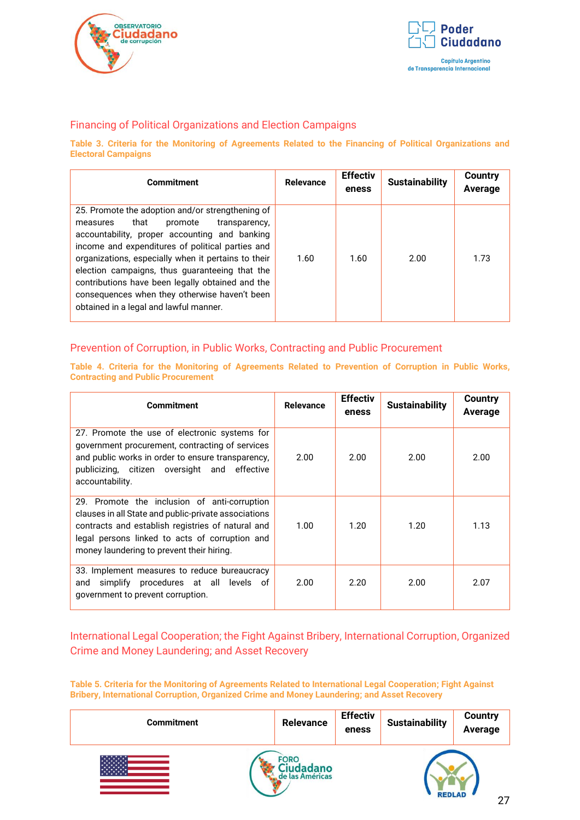



## <span id="page-26-0"></span>Financing of Political Organizations and Election Campaigns

**Table 3. Criteria for the Monitoring of Agreements Related to the Financing of Political Organizations and Electoral Campaigns**

| <b>Commitment</b>                                                                                                                                                                                                                                                                                                                                                                                                                                             | <b>Relevance</b> | <b>Effectiv</b><br>eness | <b>Sustainability</b> | Country<br>Average |
|---------------------------------------------------------------------------------------------------------------------------------------------------------------------------------------------------------------------------------------------------------------------------------------------------------------------------------------------------------------------------------------------------------------------------------------------------------------|------------------|--------------------------|-----------------------|--------------------|
| 25. Promote the adoption and/or strengthening of<br>that<br>promote<br>transparency,<br>measures<br>accountability, proper accounting and banking<br>income and expenditures of political parties and<br>organizations, especially when it pertains to their<br>election campaigns, thus guaranteeing that the<br>contributions have been legally obtained and the<br>consequences when they otherwise haven't been<br>obtained in a legal and lawful manner. | 1.60             | 1.60                     | 2.00                  | 1.73               |

#### <span id="page-26-1"></span>Prevention of Corruption, in Public Works, Contracting and Public Procurement

**Table 4. Criteria for the Monitoring of Agreements Related to Prevention of Corruption in Public Works, Contracting and Public Procurement**

| <b>Commitment</b>                                                                                                                                                                                                                                        | <b>Relevance</b> | <b>Effectiv</b><br>eness | <b>Sustainability</b> | <b>Country</b><br>Average |
|----------------------------------------------------------------------------------------------------------------------------------------------------------------------------------------------------------------------------------------------------------|------------------|--------------------------|-----------------------|---------------------------|
| 27. Promote the use of electronic systems for<br>government procurement, contracting of services<br>and public works in order to ensure transparency,<br>publicizing, citizen oversight and effective<br>accountability.                                 | 2.00             | 2.00                     | 2.00                  | 2.00                      |
| 29. Promote the inclusion of anti-corruption<br>clauses in all State and public-private associations<br>contracts and establish registries of natural and<br>legal persons linked to acts of corruption and<br>money laundering to prevent their hiring. | 1.00.            | 1.20                     | 1.20                  | 1.13                      |
| 33. Implement measures to reduce bureaucracy<br>simplify procedures at all levels of<br>and<br>government to prevent corruption.                                                                                                                         | 2.00             | 2.20                     | 2.00                  | 2.07                      |

## <span id="page-26-2"></span>International Legal Cooperation; the Fight Against Bribery, International Corruption, Organized Crime and Money Laundering; and Asset Recovery

**Table 5. Criteria for the Monitoring of Agreements Related to International Legal Cooperation; Fight Against Bribery, International Corruption, Organized Crime and Money Laundering; and Asset Recovery**

| <b>Commitment</b> | Relevance   | <b>Effectiv</b><br>eness | <b>Sustainability</b> | <b>Country</b><br>Average |
|-------------------|-------------|--------------------------|-----------------------|---------------------------|
|                   | <b>FORC</b> |                          |                       | $\sim$                    |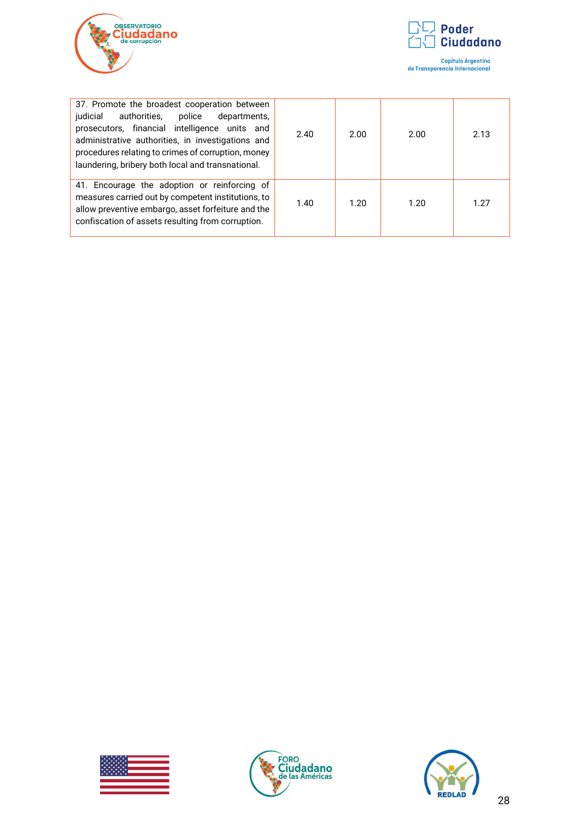



| 37. Promote the broadest cooperation between<br>authorities, police<br>judicial<br>departments,<br>prosecutors, financial intelligence units and<br>administrative authorities, in investigations and<br>procedures relating to crimes of corruption, money<br>laundering, bribery both local and transnational. | 2.40 | 2.00 | 2.00 | 2.13 |
|------------------------------------------------------------------------------------------------------------------------------------------------------------------------------------------------------------------------------------------------------------------------------------------------------------------|------|------|------|------|
| 41. Encourage the adoption or reinforcing of<br>measures carried out by competent institutions, to<br>allow preventive embargo, asset forfeiture and the<br>confiscation of assets resulting from corruption.                                                                                                    | 1.40 | 1.20 | 1.20 | 1 27 |